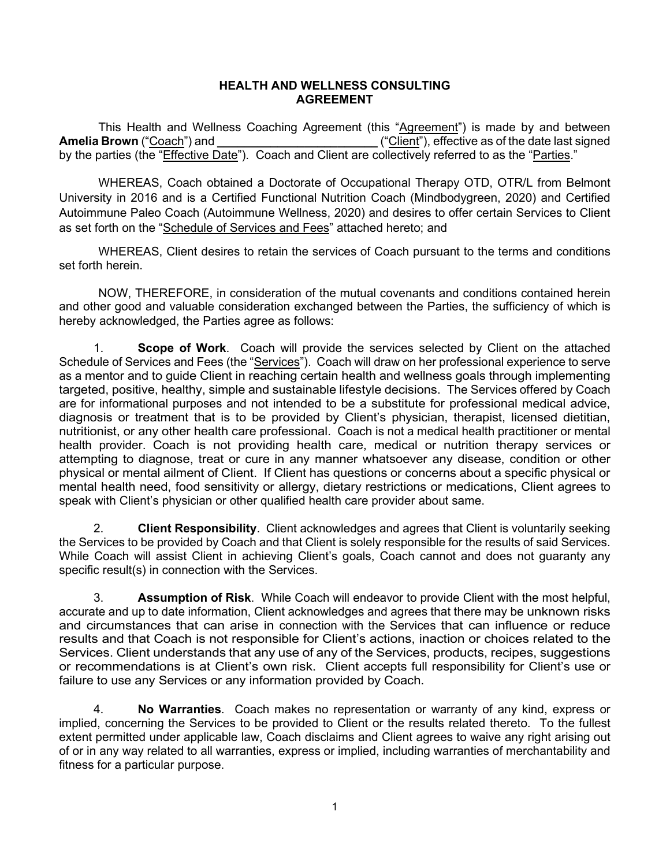## **HEALTH AND WELLNESS CONSULTING AGREEMENT**

This Health and Wellness Coaching Agreement (this "Agreement") is made by and between **Amelia Brown** ("Coach") and **\_\_\_\_\_\_\_\_\_\_\_\_\_\_\_\_\_\_\_\_\_\_\_\_** ("Client"), effective as of the date last signed by the parties (the "Effective Date"). Coach and Client are collectively referred to as the "Parties."

 WHEREAS, Coach obtained a Doctorate of Occupational Therapy OTD, OTR/L from Belmont University in 2016 and is a Certified Functional Nutrition Coach (Mindbodygreen, 2020) and Certified Autoimmune Paleo Coach (Autoimmune Wellness, 2020) and desires to offer certain Services to Client as set forth on the "Schedule of Services and Fees" attached hereto; and

 WHEREAS, Client desires to retain the services of Coach pursuant to the terms and conditions set forth herein.

 NOW, THEREFORE, in consideration of the mutual covenants and conditions contained herein and other good and valuable consideration exchanged between the Parties, the sufficiency of which is hereby acknowledged, the Parties agree as follows:

1. **Scope of Work**. Coach will provide the services selected by Client on the attached Schedule of Services and Fees (the "Services"). Coach will draw on her professional experience to serve as a mentor and to guide Client in reaching certain health and wellness goals through implementing targeted, positive, healthy, simple and sustainable lifestyle decisions. The Services offered by Coach are for informational purposes and not intended to be a substitute for professional medical advice, diagnosis or treatment that is to be provided by Client's physician, therapist, licensed dietitian, nutritionist, or any other health care professional. Coach is not a medical health practitioner or mental health provider. Coach is not providing health care, medical or nutrition therapy services or attempting to diagnose, treat or cure in any manner whatsoever any disease, condition or other physical or mental ailment of Client. If Client has questions or concerns about a specific physical or mental health need, food sensitivity or allergy, dietary restrictions or medications, Client agrees to speak with Client's physician or other qualified health care provider about same.

2. **Client Responsibility**. Client acknowledges and agrees that Client is voluntarily seeking the Services to be provided by Coach and that Client is solely responsible for the results of said Services. While Coach will assist Client in achieving Client's goals, Coach cannot and does not guaranty any specific result(s) in connection with the Services.

3. **Assumption of Risk**. While Coach will endeavor to provide Client with the most helpful, accurate and up to date information, Client acknowledges and agrees that there may be unknown risks and circumstances that can arise in connection with the Services that can influence or reduce results and that Coach is not responsible for Client's actions, inaction or choices related to the Services. Client understands that any use of any of the Services, products, recipes, suggestions or recommendations is at Client's own risk. Client accepts full responsibility for Client's use or failure to use any Services or any information provided by Coach.

4. **No Warranties**. Coach makes no representation or warranty of any kind, express or implied, concerning the Services to be provided to Client or the results related thereto. To the fullest extent permitted under applicable law, Coach disclaims and Client agrees to waive any right arising out of or in any way related to all warranties, express or implied, including warranties of merchantability and fitness for a particular purpose.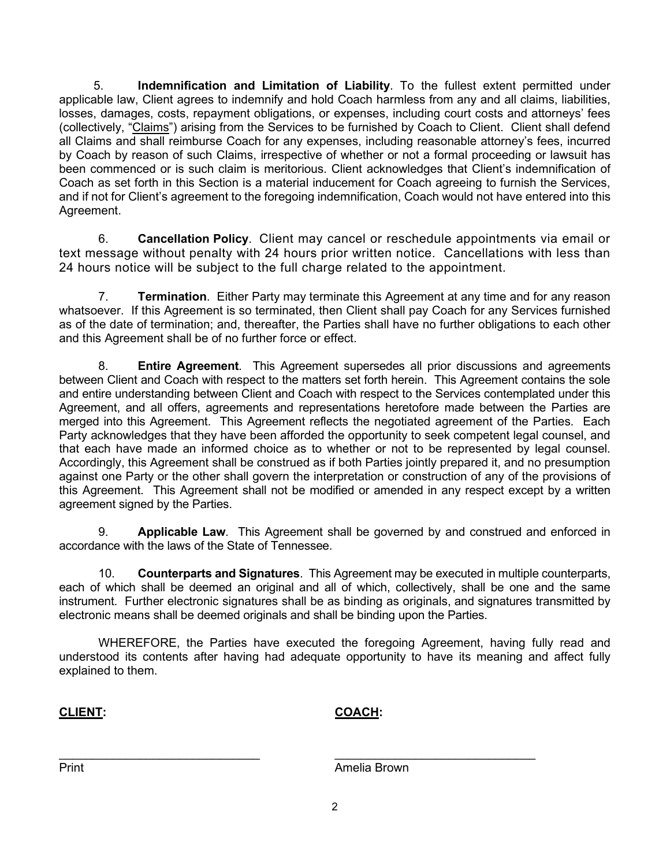5. **Indemnification and Limitation of Liability**. To the fullest extent permitted under applicable law, Client agrees to indemnify and hold Coach harmless from any and all claims, liabilities, losses, damages, costs, repayment obligations, or expenses, including court costs and attorneys' fees (collectively, "Claims") arising from the Services to be furnished by Coach to Client. Client shall defend all Claims and shall reimburse Coach for any expenses, including reasonable attorney's fees, incurred by Coach by reason of such Claims, irrespective of whether or not a formal proceeding or lawsuit has been commenced or is such claim is meritorious. Client acknowledges that Client's indemnification of Coach as set forth in this Section is a material inducement for Coach agreeing to furnish the Services, and if not for Client's agreement to the foregoing indemnification, Coach would not have entered into this Agreement.

6. **Cancellation Policy**. Client may cancel or reschedule appointments via email or text message without penalty with 24 hours prior written notice. Cancellations with less than 24 hours notice will be subject to the full charge related to the appointment.

7. **Termination**. Either Party may terminate this Agreement at any time and for any reason whatsoever. If this Agreement is so terminated, then Client shall pay Coach for any Services furnished as of the date of termination; and, thereafter, the Parties shall have no further obligations to each other and this Agreement shall be of no further force or effect.

8. **Entire Agreement**. This Agreement supersedes all prior discussions and agreements between Client and Coach with respect to the matters set forth herein. This Agreement contains the sole and entire understanding between Client and Coach with respect to the Services contemplated under this Agreement, and all offers, agreements and representations heretofore made between the Parties are merged into this Agreement. This Agreement reflects the negotiated agreement of the Parties. Each Party acknowledges that they have been afforded the opportunity to seek competent legal counsel, and that each have made an informed choice as to whether or not to be represented by legal counsel. Accordingly, this Agreement shall be construed as if both Parties jointly prepared it, and no presumption against one Party or the other shall govern the interpretation or construction of any of the provisions of this Agreement. This Agreement shall not be modified or amended in any respect except by a written agreement signed by the Parties.

9. **Applicable Law**. This Agreement shall be governed by and construed and enforced in accordance with the laws of the State of Tennessee.

10. **Counterparts and Signatures**. This Agreement may be executed in multiple counterparts, each of which shall be deemed an original and all of which, collectively, shall be one and the same instrument. Further electronic signatures shall be as binding as originals, and signatures transmitted by electronic means shall be deemed originals and shall be binding upon the Parties.

WHEREFORE, the Parties have executed the foregoing Agreement, having fully read and understood its contents after having had adequate opportunity to have its meaning and affect fully explained to them.

**CLIENT: COACH:** 

Print **Amelia Brown** 

 $\_$  , and the set of the set of the set of the set of the set of the set of the set of the set of the set of the set of the set of the set of the set of the set of the set of the set of the set of the set of the set of th